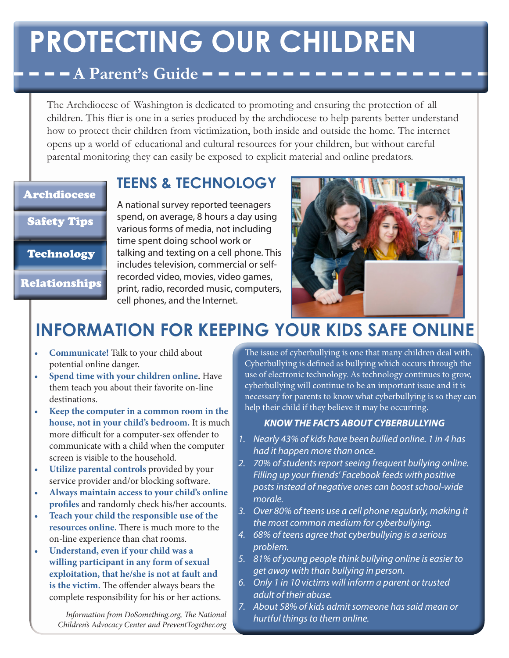# **PROTECTING OUR CHILDREN**

### $\blacksquare$   $\blacksquare$   $\blacksquare$  A Parent's Guide  $\blacksquare$   $\blacksquare$

The Archdiocese of Washington is dedicated to promoting and ensuring the protection of all children. This flier is one in a series produced by the archdiocese to help parents better understand how to protect their children from victimization, both inside and outside the home. The internet opens up a world of educational and cultural resources for your children, but without careful parental monitoring they can easily be exposed to explicit material and online predators.

#### Archdiocese

#### Safety Tips

#### Technology

Relationships

A national survey reported teenagers spend, on average, 8 hours a day using various forms of media, not including time spent doing school work or talking and texting on a cell phone. This includes television, commercial or selfrecorded video, movies, video games, print, radio, recorded music, computers, cell phones, and the Internet.

**TEENS & TECHNOLOGY**



## **INFORMATION FOR KEEPING YOUR KIDS SAFE ONLINE**

- **Communicate!** Talk to your child about potential online danger.
- **• Spend time with your children online.** Have them teach you about their favorite on-line destinations.
- **• Keep the computer in a common room in the house, not in your child's bedroom.** It is much more difficult for a computer-sex offender to communicate with a child when the computer screen is visible to the household.
- **Utilize parental controls** provided by your service provider and/or blocking software.
- **• Always maintain access to your child's online profiles** and randomly check his/her accounts.
- **• Teach your child the responsible use of the resources online.** There is much more to the on-line experience than chat rooms.
- **• Understand, even if your child was a willing participant in any form of sexual exploitation, that he/she is not at fault and is the victim.** The offender always bears the complete responsibility for his or her actions.

*Information from DoSomething.org, The National Children's Advocacy Center and PreventTogether.org*

The issue of cyberbullying is one that many children deal with. Cyberbullying is defined as bullying which occurs through the use of electronic technology. As technology continues to grow, cyberbullying will continue to be an important issue and it is necessary for parents to know what cyberbullying is so they can help their child if they believe it may be occurring.

#### *KNOW THE FACTS ABOUT CYBERBULLYING*

- *1. Nearly 43% of kids have been bullied online. 1 in 4 has had it happen more than once.*
- *2. 70% of students report seeing frequent bullying online. Filling up your friends' Facebook feeds with positive posts instead of negative ones can boost school-wide morale.*
- *3. Over 80% of teens use a cell phone regularly, making it the most common medium for cyberbullying.*
- *4. 68% of teens agree that cyberbullying is a serious problem.*
- *5. 81% of young people think bullying online is easier to get away with than bullying in person.*
- *6. Only 1 in 10 victims will inform a parent or trusted adult of their abuse.*
- *7. About 58% of kids admit someone has said mean or hurtful things to them online.*